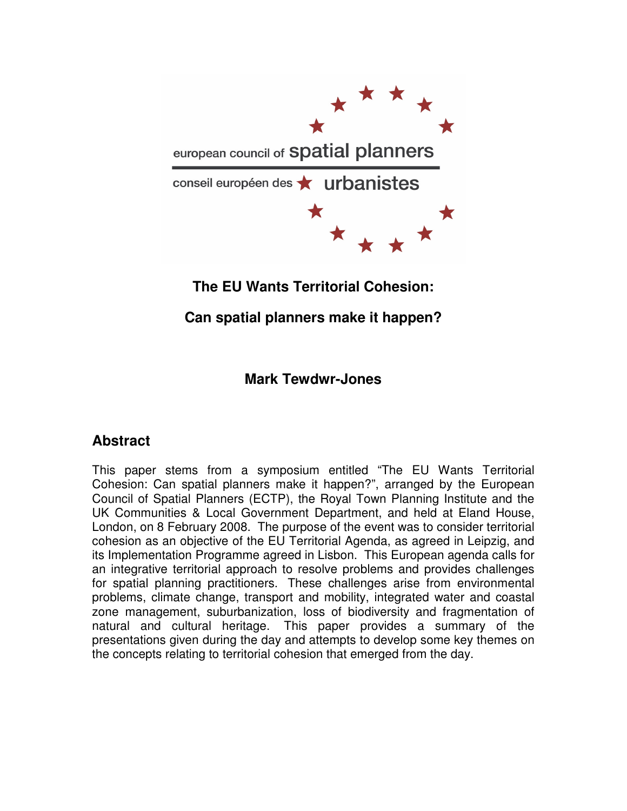

# **The EU Wants Territorial Cohesion:**

# **Can spatial planners make it happen?**

## **Mark Tewdwr-Jones**

## **Abstract**

This paper stems from a symposium entitled "The EU Wants Territorial Cohesion: Can spatial planners make it happen?", arranged by the European Council of Spatial Planners (ECTP), the Royal Town Planning Institute and the UK Communities & Local Government Department, and held at Eland House, London, on 8 February 2008. The purpose of the event was to consider territorial cohesion as an objective of the EU Territorial Agenda, as agreed in Leipzig, and its Implementation Programme agreed in Lisbon. This European agenda calls for an integrative territorial approach to resolve problems and provides challenges for spatial planning practitioners. These challenges arise from environmental problems, climate change, transport and mobility, integrated water and coastal zone management, suburbanization, loss of biodiversity and fragmentation of natural and cultural heritage. This paper provides a summary of the presentations given during the day and attempts to develop some key themes on the concepts relating to territorial cohesion that emerged from the day.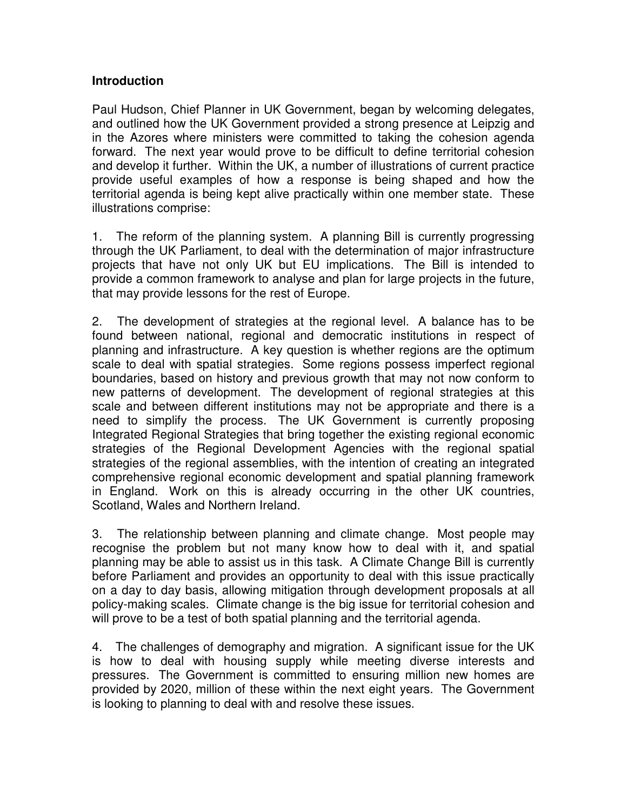#### **Introduction**

Paul Hudson, Chief Planner in UK Government, began by welcoming delegates, and outlined how the UK Government provided a strong presence at Leipzig and in the Azores where ministers were committed to taking the cohesion agenda forward. The next year would prove to be difficult to define territorial cohesion and develop it further. Within the UK, a number of illustrations of current practice provide useful examples of how a response is being shaped and how the territorial agenda is being kept alive practically within one member state. These illustrations comprise:

1. The reform of the planning system. A planning Bill is currently progressing through the UK Parliament, to deal with the determination of major infrastructure projects that have not only UK but EU implications. The Bill is intended to provide a common framework to analyse and plan for large projects in the future, that may provide lessons for the rest of Europe.

2. The development of strategies at the regional level. A balance has to be found between national, regional and democratic institutions in respect of planning and infrastructure. A key question is whether regions are the optimum scale to deal with spatial strategies. Some regions possess imperfect regional boundaries, based on history and previous growth that may not now conform to new patterns of development. The development of regional strategies at this scale and between different institutions may not be appropriate and there is a need to simplify the process. The UK Government is currently proposing Integrated Regional Strategies that bring together the existing regional economic strategies of the Regional Development Agencies with the regional spatial strategies of the regional assemblies, with the intention of creating an integrated comprehensive regional economic development and spatial planning framework in England. Work on this is already occurring in the other UK countries, Scotland, Wales and Northern Ireland.

3. The relationship between planning and climate change. Most people may recognise the problem but not many know how to deal with it, and spatial planning may be able to assist us in this task. A Climate Change Bill is currently before Parliament and provides an opportunity to deal with this issue practically on a day to day basis, allowing mitigation through development proposals at all policy-making scales. Climate change is the big issue for territorial cohesion and will prove to be a test of both spatial planning and the territorial agenda.

4. The challenges of demography and migration. A significant issue for the UK is how to deal with housing supply while meeting diverse interests and pressures. The Government is committed to ensuring million new homes are provided by 2020, million of these within the next eight years. The Government is looking to planning to deal with and resolve these issues.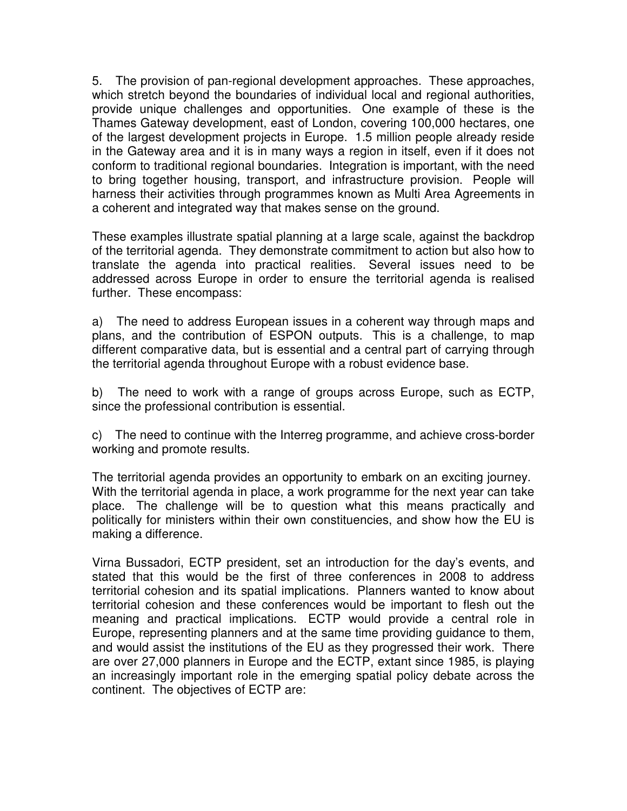5. The provision of pan-regional development approaches. These approaches, which stretch beyond the boundaries of individual local and regional authorities, provide unique challenges and opportunities. One example of these is the Thames Gateway development, east of London, covering 100,000 hectares, one of the largest development projects in Europe. 1.5 million people already reside in the Gateway area and it is in many ways a region in itself, even if it does not conform to traditional regional boundaries. Integration is important, with the need to bring together housing, transport, and infrastructure provision. People will harness their activities through programmes known as Multi Area Agreements in a coherent and integrated way that makes sense on the ground.

These examples illustrate spatial planning at a large scale, against the backdrop of the territorial agenda. They demonstrate commitment to action but also how to translate the agenda into practical realities. Several issues need to be addressed across Europe in order to ensure the territorial agenda is realised further. These encompass:

a) The need to address European issues in a coherent way through maps and plans, and the contribution of ESPON outputs. This is a challenge, to map different comparative data, but is essential and a central part of carrying through the territorial agenda throughout Europe with a robust evidence base.

b) The need to work with a range of groups across Europe, such as ECTP, since the professional contribution is essential.

c) The need to continue with the Interreg programme, and achieve cross-border working and promote results.

The territorial agenda provides an opportunity to embark on an exciting journey. With the territorial agenda in place, a work programme for the next year can take place. The challenge will be to question what this means practically and politically for ministers within their own constituencies, and show how the EU is making a difference.

Virna Bussadori, ECTP president, set an introduction for the day's events, and stated that this would be the first of three conferences in 2008 to address territorial cohesion and its spatial implications. Planners wanted to know about territorial cohesion and these conferences would be important to flesh out the meaning and practical implications. ECTP would provide a central role in Europe, representing planners and at the same time providing guidance to them, and would assist the institutions of the EU as they progressed their work. There are over 27,000 planners in Europe and the ECTP, extant since 1985, is playing an increasingly important role in the emerging spatial policy debate across the continent. The objectives of ECTP are: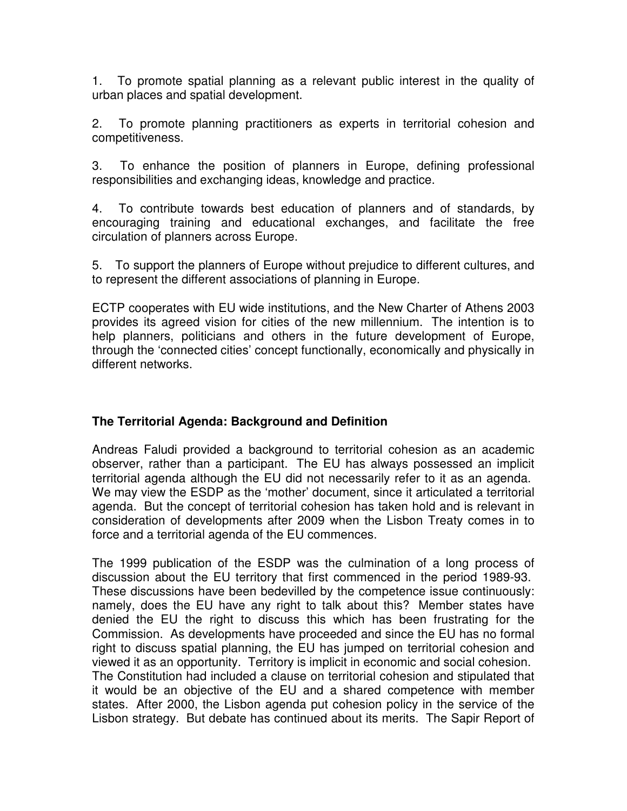1. To promote spatial planning as a relevant public interest in the quality of urban places and spatial development.

2. To promote planning practitioners as experts in territorial cohesion and competitiveness.

3. To enhance the position of planners in Europe, defining professional responsibilities and exchanging ideas, knowledge and practice.

4. To contribute towards best education of planners and of standards, by encouraging training and educational exchanges, and facilitate the free circulation of planners across Europe.

5. To support the planners of Europe without prejudice to different cultures, and to represent the different associations of planning in Europe.

ECTP cooperates with EU wide institutions, and the New Charter of Athens 2003 provides its agreed vision for cities of the new millennium. The intention is to help planners, politicians and others in the future development of Europe, through the 'connected cities' concept functionally, economically and physically in different networks.

## **The Territorial Agenda: Background and Definition**

Andreas Faludi provided a background to territorial cohesion as an academic observer, rather than a participant. The EU has always possessed an implicit territorial agenda although the EU did not necessarily refer to it as an agenda. We may view the ESDP as the 'mother' document, since it articulated a territorial agenda. But the concept of territorial cohesion has taken hold and is relevant in consideration of developments after 2009 when the Lisbon Treaty comes in to force and a territorial agenda of the EU commences.

The 1999 publication of the ESDP was the culmination of a long process of discussion about the EU territory that first commenced in the period 1989-93. These discussions have been bedevilled by the competence issue continuously: namely, does the EU have any right to talk about this? Member states have denied the EU the right to discuss this which has been frustrating for the Commission. As developments have proceeded and since the EU has no formal right to discuss spatial planning, the EU has jumped on territorial cohesion and viewed it as an opportunity. Territory is implicit in economic and social cohesion. The Constitution had included a clause on territorial cohesion and stipulated that it would be an objective of the EU and a shared competence with member states. After 2000, the Lisbon agenda put cohesion policy in the service of the Lisbon strategy. But debate has continued about its merits. The Sapir Report of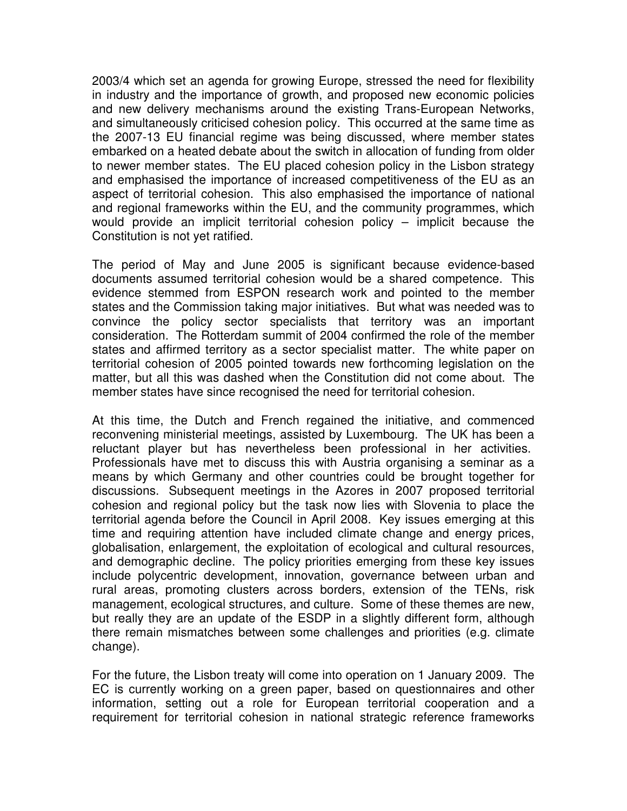2003/4 which set an agenda for growing Europe, stressed the need for flexibility in industry and the importance of growth, and proposed new economic policies and new delivery mechanisms around the existing Trans-European Networks, and simultaneously criticised cohesion policy. This occurred at the same time as the 2007-13 EU financial regime was being discussed, where member states embarked on a heated debate about the switch in allocation of funding from older to newer member states. The EU placed cohesion policy in the Lisbon strategy and emphasised the importance of increased competitiveness of the EU as an aspect of territorial cohesion. This also emphasised the importance of national and regional frameworks within the EU, and the community programmes, which would provide an implicit territorial cohesion policy – implicit because the Constitution is not yet ratified.

The period of May and June 2005 is significant because evidence-based documents assumed territorial cohesion would be a shared competence. This evidence stemmed from ESPON research work and pointed to the member states and the Commission taking major initiatives. But what was needed was to convince the policy sector specialists that territory was an important consideration. The Rotterdam summit of 2004 confirmed the role of the member states and affirmed territory as a sector specialist matter. The white paper on territorial cohesion of 2005 pointed towards new forthcoming legislation on the matter, but all this was dashed when the Constitution did not come about. The member states have since recognised the need for territorial cohesion.

At this time, the Dutch and French regained the initiative, and commenced reconvening ministerial meetings, assisted by Luxembourg. The UK has been a reluctant player but has nevertheless been professional in her activities. Professionals have met to discuss this with Austria organising a seminar as a means by which Germany and other countries could be brought together for discussions. Subsequent meetings in the Azores in 2007 proposed territorial cohesion and regional policy but the task now lies with Slovenia to place the territorial agenda before the Council in April 2008. Key issues emerging at this time and requiring attention have included climate change and energy prices, globalisation, enlargement, the exploitation of ecological and cultural resources, and demographic decline. The policy priorities emerging from these key issues include polycentric development, innovation, governance between urban and rural areas, promoting clusters across borders, extension of the TENs, risk management, ecological structures, and culture. Some of these themes are new, but really they are an update of the ESDP in a slightly different form, although there remain mismatches between some challenges and priorities (e.g. climate change).

For the future, the Lisbon treaty will come into operation on 1 January 2009. The EC is currently working on a green paper, based on questionnaires and other information, setting out a role for European territorial cooperation and a requirement for territorial cohesion in national strategic reference frameworks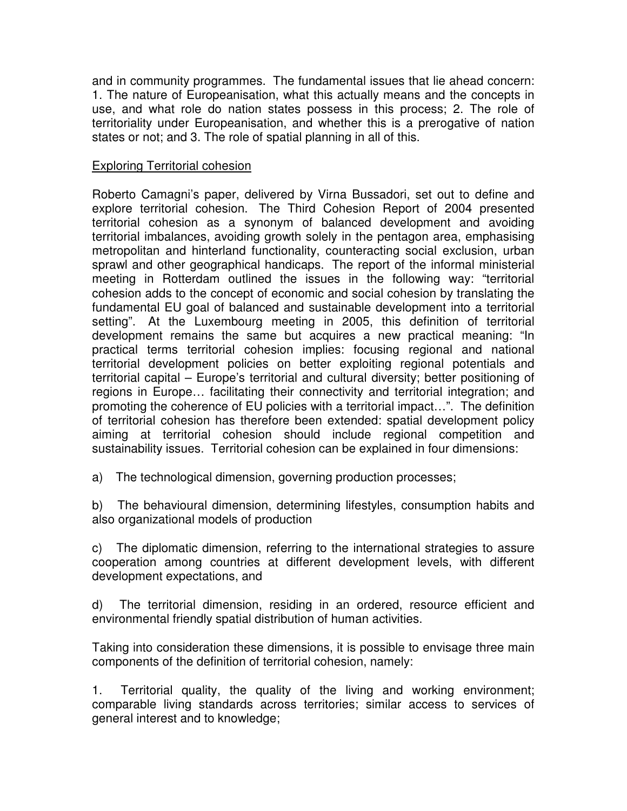and in community programmes. The fundamental issues that lie ahead concern: 1. The nature of Europeanisation, what this actually means and the concepts in use, and what role do nation states possess in this process; 2. The role of territoriality under Europeanisation, and whether this is a prerogative of nation states or not; and 3. The role of spatial planning in all of this.

#### Exploring Territorial cohesion

Roberto Camagni's paper, delivered by Virna Bussadori, set out to define and explore territorial cohesion. The Third Cohesion Report of 2004 presented territorial cohesion as a synonym of balanced development and avoiding territorial imbalances, avoiding growth solely in the pentagon area, emphasising metropolitan and hinterland functionality, counteracting social exclusion, urban sprawl and other geographical handicaps. The report of the informal ministerial meeting in Rotterdam outlined the issues in the following way: "territorial cohesion adds to the concept of economic and social cohesion by translating the fundamental EU goal of balanced and sustainable development into a territorial setting". At the Luxembourg meeting in 2005, this definition of territorial development remains the same but acquires a new practical meaning: "In practical terms territorial cohesion implies: focusing regional and national territorial development policies on better exploiting regional potentials and territorial capital – Europe's territorial and cultural diversity; better positioning of regions in Europe… facilitating their connectivity and territorial integration; and promoting the coherence of EU policies with a territorial impact…". The definition of territorial cohesion has therefore been extended: spatial development policy aiming at territorial cohesion should include regional competition and sustainability issues. Territorial cohesion can be explained in four dimensions:

a) The technological dimension, governing production processes;

b) The behavioural dimension, determining lifestyles, consumption habits and also organizational models of production

c) The diplomatic dimension, referring to the international strategies to assure cooperation among countries at different development levels, with different development expectations, and

d) The territorial dimension, residing in an ordered, resource efficient and environmental friendly spatial distribution of human activities.

Taking into consideration these dimensions, it is possible to envisage three main components of the definition of territorial cohesion, namely:

1. Territorial quality, the quality of the living and working environment; comparable living standards across territories; similar access to services of general interest and to knowledge;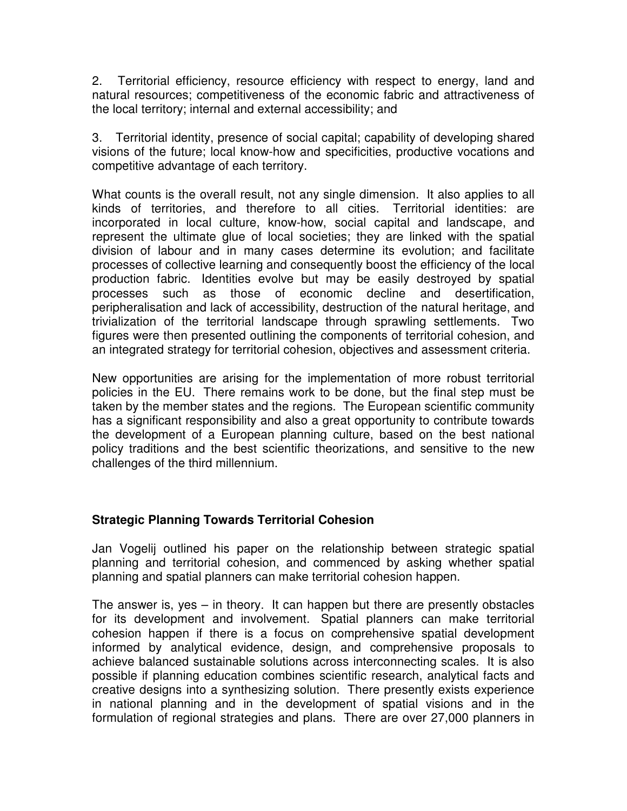2. Territorial efficiency, resource efficiency with respect to energy, land and natural resources; competitiveness of the economic fabric and attractiveness of the local territory; internal and external accessibility; and

3. Territorial identity, presence of social capital; capability of developing shared visions of the future; local know-how and specificities, productive vocations and competitive advantage of each territory.

What counts is the overall result, not any single dimension. It also applies to all kinds of territories, and therefore to all cities. Territorial identities: are incorporated in local culture, know-how, social capital and landscape, and represent the ultimate glue of local societies; they are linked with the spatial division of labour and in many cases determine its evolution; and facilitate processes of collective learning and consequently boost the efficiency of the local production fabric. Identities evolve but may be easily destroyed by spatial processes such as those of economic decline and desertification, peripheralisation and lack of accessibility, destruction of the natural heritage, and trivialization of the territorial landscape through sprawling settlements. Two figures were then presented outlining the components of territorial cohesion, and an integrated strategy for territorial cohesion, objectives and assessment criteria.

New opportunities are arising for the implementation of more robust territorial policies in the EU. There remains work to be done, but the final step must be taken by the member states and the regions. The European scientific community has a significant responsibility and also a great opportunity to contribute towards the development of a European planning culture, based on the best national policy traditions and the best scientific theorizations, and sensitive to the new challenges of the third millennium.

## **Strategic Planning Towards Territorial Cohesion**

Jan Vogelij outlined his paper on the relationship between strategic spatial planning and territorial cohesion, and commenced by asking whether spatial planning and spatial planners can make territorial cohesion happen.

The answer is, yes – in theory. It can happen but there are presently obstacles for its development and involvement. Spatial planners can make territorial cohesion happen if there is a focus on comprehensive spatial development informed by analytical evidence, design, and comprehensive proposals to achieve balanced sustainable solutions across interconnecting scales. It is also possible if planning education combines scientific research, analytical facts and creative designs into a synthesizing solution. There presently exists experience in national planning and in the development of spatial visions and in the formulation of regional strategies and plans. There are over 27,000 planners in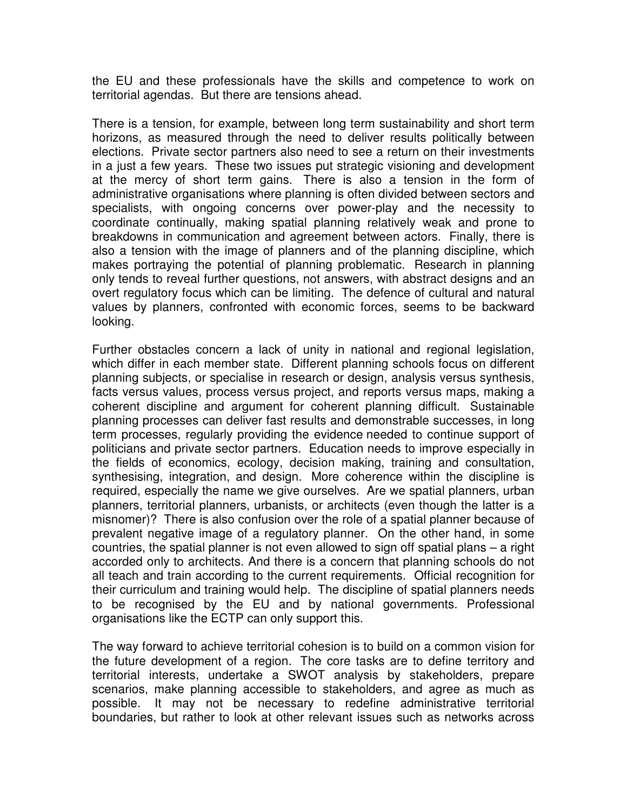the EU and these professionals have the skills and competence to work on territorial agendas. But there are tensions ahead.

There is a tension, for example, between long term sustainability and short term horizons, as measured through the need to deliver results politically between elections. Private sector partners also need to see a return on their investments in a just a few years. These two issues put strategic visioning and development at the mercy of short term gains. There is also a tension in the form of administrative organisations where planning is often divided between sectors and specialists, with ongoing concerns over power-play and the necessity to coordinate continually, making spatial planning relatively weak and prone to breakdowns in communication and agreement between actors. Finally, there is also a tension with the image of planners and of the planning discipline, which makes portraying the potential of planning problematic. Research in planning only tends to reveal further questions, not answers, with abstract designs and an overt regulatory focus which can be limiting. The defence of cultural and natural values by planners, confronted with economic forces, seems to be backward looking.

Further obstacles concern a lack of unity in national and regional legislation, which differ in each member state. Different planning schools focus on different planning subjects, or specialise in research or design, analysis versus synthesis, facts versus values, process versus project, and reports versus maps, making a coherent discipline and argument for coherent planning difficult. Sustainable planning processes can deliver fast results and demonstrable successes, in long term processes, regularly providing the evidence needed to continue support of politicians and private sector partners. Education needs to improve especially in the fields of economics, ecology, decision making, training and consultation, synthesising, integration, and design. More coherence within the discipline is required, especially the name we give ourselves. Are we spatial planners, urban planners, territorial planners, urbanists, or architects (even though the latter is a misnomer)? There is also confusion over the role of a spatial planner because of prevalent negative image of a regulatory planner. On the other hand, in some countries, the spatial planner is not even allowed to sign off spatial plans – a right accorded only to architects. And there is a concern that planning schools do not all teach and train according to the current requirements. Official recognition for their curriculum and training would help. The discipline of spatial planners needs to be recognised by the EU and by national governments. Professional organisations like the ECTP can only support this.

The way forward to achieve territorial cohesion is to build on a common vision for the future development of a region. The core tasks are to define territory and territorial interests, undertake a SWOT analysis by stakeholders, prepare scenarios, make planning accessible to stakeholders, and agree as much as possible. It may not be necessary to redefine administrative territorial boundaries, but rather to look at other relevant issues such as networks across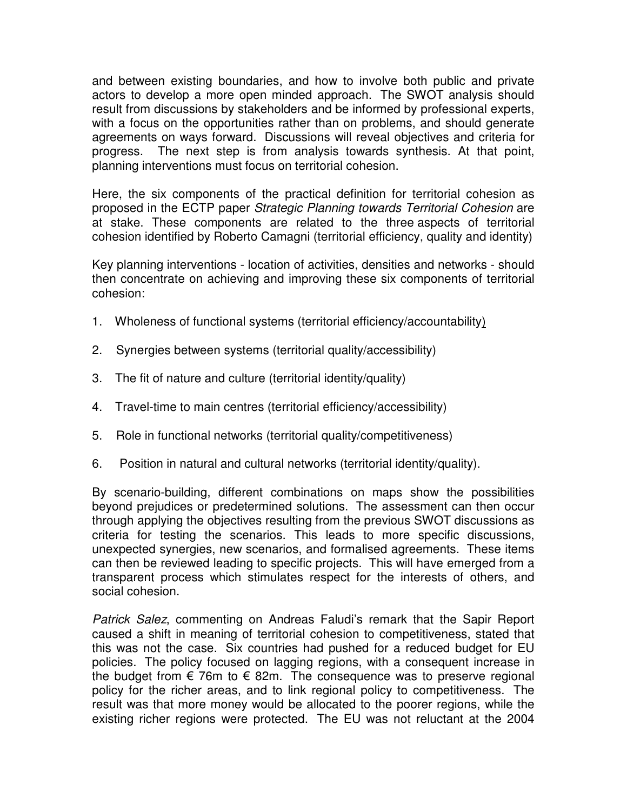and between existing boundaries, and how to involve both public and private actors to develop a more open minded approach. The SWOT analysis should result from discussions by stakeholders and be informed by professional experts, with a focus on the opportunities rather than on problems, and should generate agreements on ways forward. Discussions will reveal objectives and criteria for progress. The next step is from analysis towards synthesis. At that point, planning interventions must focus on territorial cohesion.

Here, the six components of the practical definition for territorial cohesion as proposed in the ECTP paper Strategic Planning towards Territorial Cohesion are at stake. These components are related to the three aspects of territorial cohesion identified by Roberto Camagni (territorial efficiency, quality and identity)

Key planning interventions - location of activities, densities and networks - should then concentrate on achieving and improving these six components of territorial cohesion:

- 1. Wholeness of functional systems (territorial efficiency/accountability)
- 2. Synergies between systems (territorial quality/accessibility)
- 3. The fit of nature and culture (territorial identity/quality)
- 4. Travel-time to main centres (territorial efficiency/accessibility)
- 5. Role in functional networks (territorial quality/competitiveness)
- 6. Position in natural and cultural networks (territorial identity/quality).

By scenario-building, different combinations on maps show the possibilities beyond prejudices or predetermined solutions. The assessment can then occur through applying the objectives resulting from the previous SWOT discussions as criteria for testing the scenarios. This leads to more specific discussions, unexpected synergies, new scenarios, and formalised agreements. These items can then be reviewed leading to specific projects. This will have emerged from a transparent process which stimulates respect for the interests of others, and social cohesion.

Patrick Salez, commenting on Andreas Faludi's remark that the Sapir Report caused a shift in meaning of territorial cohesion to competitiveness, stated that this was not the case. Six countries had pushed for a reduced budget for EU policies. The policy focused on lagging regions, with a consequent increase in the budget from  $\epsilon$  76m to  $\epsilon$  82m. The consequence was to preserve regional policy for the richer areas, and to link regional policy to competitiveness. The result was that more money would be allocated to the poorer regions, while the existing richer regions were protected. The EU was not reluctant at the 2004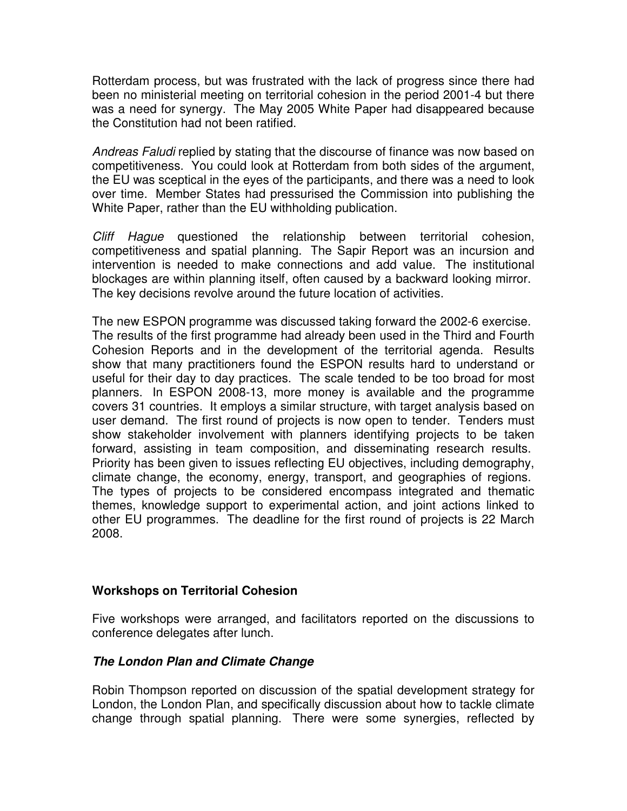Rotterdam process, but was frustrated with the lack of progress since there had been no ministerial meeting on territorial cohesion in the period 2001-4 but there was a need for synergy. The May 2005 White Paper had disappeared because the Constitution had not been ratified.

Andreas Faludi replied by stating that the discourse of finance was now based on competitiveness. You could look at Rotterdam from both sides of the argument, the EU was sceptical in the eyes of the participants, and there was a need to look over time. Member States had pressurised the Commission into publishing the White Paper, rather than the EU withholding publication.

Cliff Hague questioned the relationship between territorial cohesion, competitiveness and spatial planning. The Sapir Report was an incursion and intervention is needed to make connections and add value. The institutional blockages are within planning itself, often caused by a backward looking mirror. The key decisions revolve around the future location of activities.

The new ESPON programme was discussed taking forward the 2002-6 exercise. The results of the first programme had already been used in the Third and Fourth Cohesion Reports and in the development of the territorial agenda. Results show that many practitioners found the ESPON results hard to understand or useful for their day to day practices. The scale tended to be too broad for most planners. In ESPON 2008-13, more money is available and the programme covers 31 countries. It employs a similar structure, with target analysis based on user demand. The first round of projects is now open to tender. Tenders must show stakeholder involvement with planners identifying projects to be taken forward, assisting in team composition, and disseminating research results. Priority has been given to issues reflecting EU objectives, including demography, climate change, the economy, energy, transport, and geographies of regions. The types of projects to be considered encompass integrated and thematic themes, knowledge support to experimental action, and joint actions linked to other EU programmes. The deadline for the first round of projects is 22 March 2008.

## **Workshops on Territorial Cohesion**

Five workshops were arranged, and facilitators reported on the discussions to conference delegates after lunch.

## **The London Plan and Climate Change**

Robin Thompson reported on discussion of the spatial development strategy for London, the London Plan, and specifically discussion about how to tackle climate change through spatial planning. There were some synergies, reflected by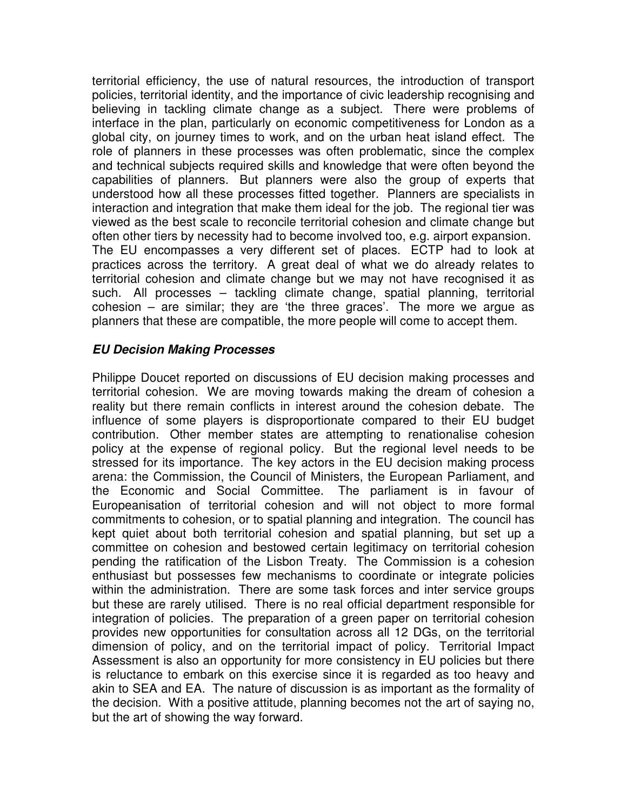territorial efficiency, the use of natural resources, the introduction of transport policies, territorial identity, and the importance of civic leadership recognising and believing in tackling climate change as a subject. There were problems of interface in the plan, particularly on economic competitiveness for London as a global city, on journey times to work, and on the urban heat island effect. The role of planners in these processes was often problematic, since the complex and technical subjects required skills and knowledge that were often beyond the capabilities of planners. But planners were also the group of experts that understood how all these processes fitted together. Planners are specialists in interaction and integration that make them ideal for the job. The regional tier was viewed as the best scale to reconcile territorial cohesion and climate change but often other tiers by necessity had to become involved too, e.g. airport expansion. The EU encompasses a very different set of places. ECTP had to look at practices across the territory. A great deal of what we do already relates to territorial cohesion and climate change but we may not have recognised it as such. All processes – tackling climate change, spatial planning, territorial cohesion – are similar; they are 'the three graces'. The more we argue as planners that these are compatible, the more people will come to accept them.

#### **EU Decision Making Processes**

Philippe Doucet reported on discussions of EU decision making processes and territorial cohesion. We are moving towards making the dream of cohesion a reality but there remain conflicts in interest around the cohesion debate. The influence of some players is disproportionate compared to their EU budget contribution. Other member states are attempting to renationalise cohesion policy at the expense of regional policy. But the regional level needs to be stressed for its importance. The key actors in the EU decision making process arena: the Commission, the Council of Ministers, the European Parliament, and the Economic and Social Committee. The parliament is in favour of Europeanisation of territorial cohesion and will not object to more formal commitments to cohesion, or to spatial planning and integration. The council has kept quiet about both territorial cohesion and spatial planning, but set up a committee on cohesion and bestowed certain legitimacy on territorial cohesion pending the ratification of the Lisbon Treaty. The Commission is a cohesion enthusiast but possesses few mechanisms to coordinate or integrate policies within the administration. There are some task forces and inter service groups but these are rarely utilised. There is no real official department responsible for integration of policies. The preparation of a green paper on territorial cohesion provides new opportunities for consultation across all 12 DGs, on the territorial dimension of policy, and on the territorial impact of policy. Territorial Impact Assessment is also an opportunity for more consistency in EU policies but there is reluctance to embark on this exercise since it is regarded as too heavy and akin to SEA and EA. The nature of discussion is as important as the formality of the decision. With a positive attitude, planning becomes not the art of saying no, but the art of showing the way forward.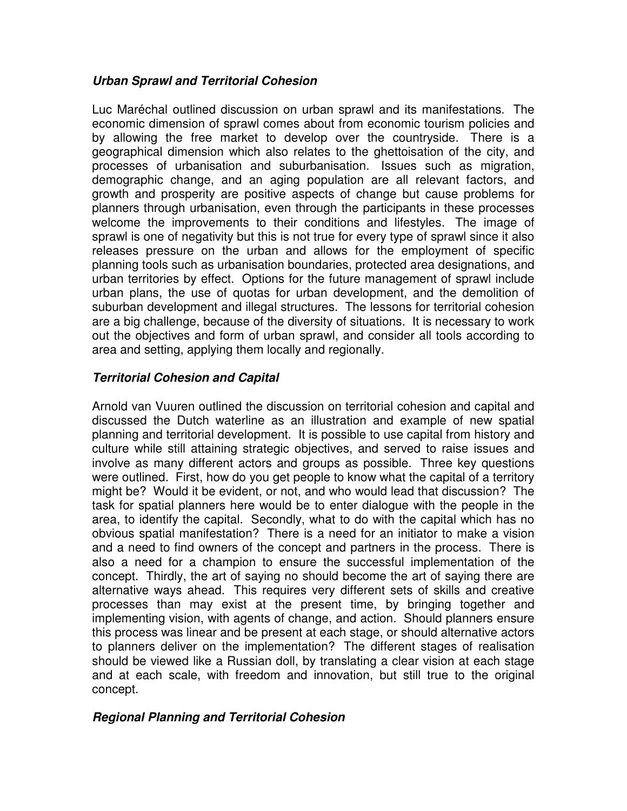#### **Urban Sprawl and Territorial Cohesion**

Luc Maréchal outlined discussion on urban sprawl and its manifestations. The economic dimension of sprawl comes about from economic tourism policies and by allowing the free market to develop over the countryside. There is a geographical dimension which also relates to the ghettoisation of the city, and processes of urbanisation and suburbanisation. Issues such as migration, demographic change, and an aging population are all relevant factors, and growth and prosperity are positive aspects of change but cause problems for planners through urbanisation, even through the participants in these processes welcome the improvements to their conditions and lifestyles. The image of sprawl is one of negativity but this is not true for every type of sprawl since it also releases pressure on the urban and allows for the employment of specific planning tools such as urbanisation boundaries, protected area designations, and urban territories by effect. Options for the future management of sprawl include urban plans, the use of quotas for urban development, and the demolition of suburban development and illegal structures. The lessons for territorial cohesion are a big challenge, because of the diversity of situations. It is necessary to work out the objectives and form of urban sprawl, and consider all tools according to area and setting, applying them locally and regionally.

## **Territorial Cohesion and Capital**

Arnold van Vuuren outlined the discussion on territorial cohesion and capital and discussed the Dutch waterline as an illustration and example of new spatial planning and territorial development. It is possible to use capital from history and culture while still attaining strategic objectives, and served to raise issues and involve as many different actors and groups as possible. Three key questions were outlined. First, how do you get people to know what the capital of a territory might be? Would it be evident, or not, and who would lead that discussion? The task for spatial planners here would be to enter dialogue with the people in the area, to identify the capital. Secondly, what to do with the capital which has no obvious spatial manifestation? There is a need for an initiator to make a vision and a need to find owners of the concept and partners in the process. There is also a need for a champion to ensure the successful implementation of the concept. Thirdly, the art of saying no should become the art of saying there are alternative ways ahead. This requires very different sets of skills and creative processes than may exist at the present time, by bringing together and implementing vision, with agents of change, and action. Should planners ensure this process was linear and be present at each stage, or should alternative actors to planners deliver on the implementation? The different stages of realisation should be viewed like a Russian doll, by translating a clear vision at each stage and at each scale, with freedom and innovation, but still true to the original concept.

## **Regional Planning and Territorial Cohesion**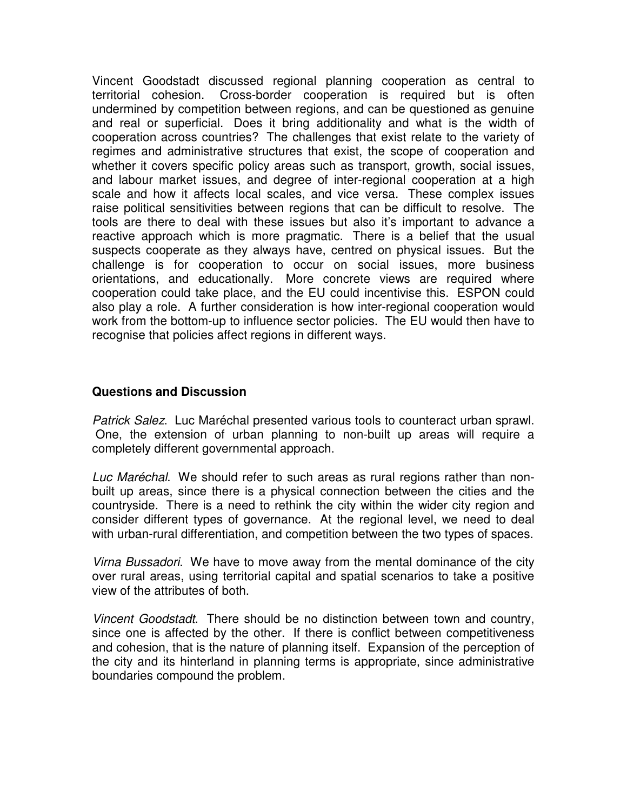Vincent Goodstadt discussed regional planning cooperation as central to territorial cohesion. Cross-border cooperation is required but is often undermined by competition between regions, and can be questioned as genuine and real or superficial. Does it bring additionality and what is the width of cooperation across countries? The challenges that exist relate to the variety of regimes and administrative structures that exist, the scope of cooperation and whether it covers specific policy areas such as transport, growth, social issues, and labour market issues, and degree of inter-regional cooperation at a high scale and how it affects local scales, and vice versa. These complex issues raise political sensitivities between regions that can be difficult to resolve. The tools are there to deal with these issues but also it's important to advance a reactive approach which is more pragmatic. There is a belief that the usual suspects cooperate as they always have, centred on physical issues. But the challenge is for cooperation to occur on social issues, more business orientations, and educationally. More concrete views are required where cooperation could take place, and the EU could incentivise this. ESPON could also play a role. A further consideration is how inter-regional cooperation would work from the bottom-up to influence sector policies. The EU would then have to recognise that policies affect regions in different ways.

#### **Questions and Discussion**

Patrick Salez. Luc Maréchal presented various tools to counteract urban sprawl. One, the extension of urban planning to non-built up areas will require a completely different governmental approach.

Luc Maréchal. We should refer to such areas as rural regions rather than nonbuilt up areas, since there is a physical connection between the cities and the countryside. There is a need to rethink the city within the wider city region and consider different types of governance. At the regional level, we need to deal with urban-rural differentiation, and competition between the two types of spaces.

Virna Bussadori. We have to move away from the mental dominance of the city over rural areas, using territorial capital and spatial scenarios to take a positive view of the attributes of both.

Vincent Goodstadt. There should be no distinction between town and country, since one is affected by the other. If there is conflict between competitiveness and cohesion, that is the nature of planning itself. Expansion of the perception of the city and its hinterland in planning terms is appropriate, since administrative boundaries compound the problem.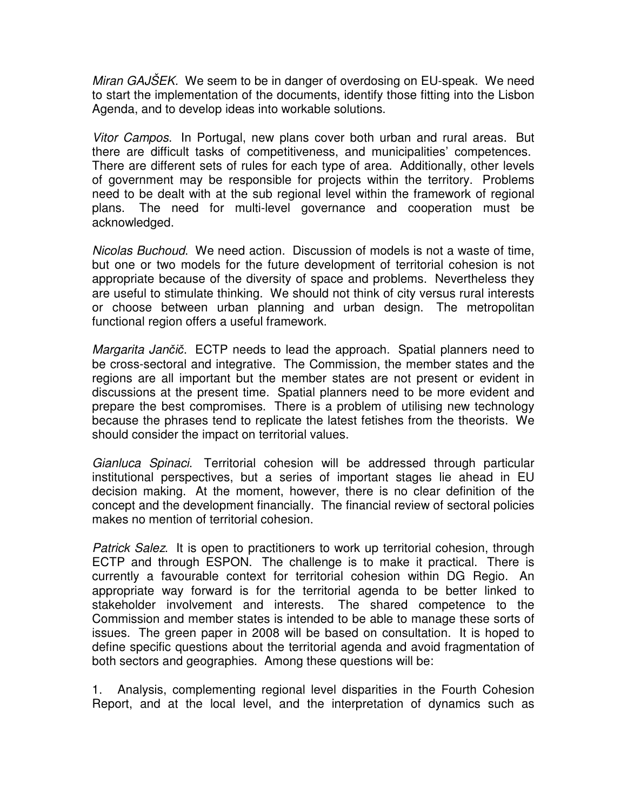Miran GAJSEK. We seem to be in danger of overdosing on EU-speak. We need to start the implementation of the documents, identify those fitting into the Lisbon Agenda, and to develop ideas into workable solutions.

Vitor Campos. In Portugal, new plans cover both urban and rural areas. But there are difficult tasks of competitiveness, and municipalities' competences. There are different sets of rules for each type of area. Additionally, other levels of government may be responsible for projects within the territory. Problems need to be dealt with at the sub regional level within the framework of regional plans. The need for multi-level governance and cooperation must be acknowledged.

Nicolas Buchoud. We need action. Discussion of models is not a waste of time, but one or two models for the future development of territorial cohesion is not appropriate because of the diversity of space and problems. Nevertheless they are useful to stimulate thinking. We should not think of city versus rural interests or choose between urban planning and urban design. The metropolitan functional region offers a useful framework.

Margarita Jančič. ECTP needs to lead the approach. Spatial planners need to be cross-sectoral and integrative. The Commission, the member states and the regions are all important but the member states are not present or evident in discussions at the present time. Spatial planners need to be more evident and prepare the best compromises. There is a problem of utilising new technology because the phrases tend to replicate the latest fetishes from the theorists. We should consider the impact on territorial values.

Gianluca Spinaci. Territorial cohesion will be addressed through particular institutional perspectives, but a series of important stages lie ahead in EU decision making. At the moment, however, there is no clear definition of the concept and the development financially. The financial review of sectoral policies makes no mention of territorial cohesion.

Patrick Salez. It is open to practitioners to work up territorial cohesion, through ECTP and through ESPON. The challenge is to make it practical. There is currently a favourable context for territorial cohesion within DG Regio. An appropriate way forward is for the territorial agenda to be better linked to stakeholder involvement and interests. The shared competence to the Commission and member states is intended to be able to manage these sorts of issues. The green paper in 2008 will be based on consultation. It is hoped to define specific questions about the territorial agenda and avoid fragmentation of both sectors and geographies. Among these questions will be:

1. Analysis, complementing regional level disparities in the Fourth Cohesion Report, and at the local level, and the interpretation of dynamics such as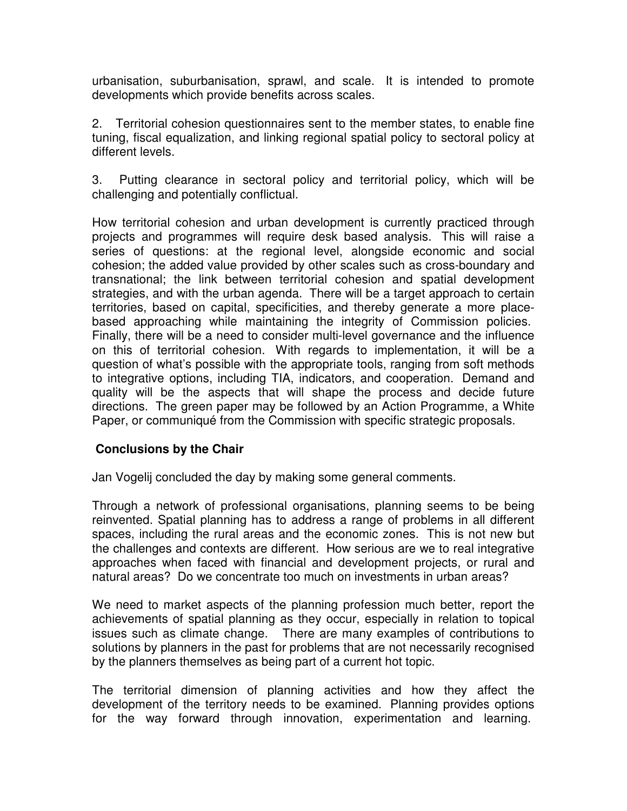urbanisation, suburbanisation, sprawl, and scale. It is intended to promote developments which provide benefits across scales.

2. Territorial cohesion questionnaires sent to the member states, to enable fine tuning, fiscal equalization, and linking regional spatial policy to sectoral policy at different levels.

3. Putting clearance in sectoral policy and territorial policy, which will be challenging and potentially conflictual.

How territorial cohesion and urban development is currently practiced through projects and programmes will require desk based analysis. This will raise a series of questions: at the regional level, alongside economic and social cohesion; the added value provided by other scales such as cross-boundary and transnational; the link between territorial cohesion and spatial development strategies, and with the urban agenda. There will be a target approach to certain territories, based on capital, specificities, and thereby generate a more placebased approaching while maintaining the integrity of Commission policies. Finally, there will be a need to consider multi-level governance and the influence on this of territorial cohesion. With regards to implementation, it will be a question of what's possible with the appropriate tools, ranging from soft methods to integrative options, including TIA, indicators, and cooperation. Demand and quality will be the aspects that will shape the process and decide future directions. The green paper may be followed by an Action Programme, a White Paper, or communiqué from the Commission with specific strategic proposals.

## **Conclusions by the Chair**

Jan Vogelij concluded the day by making some general comments.

Through a network of professional organisations, planning seems to be being reinvented. Spatial planning has to address a range of problems in all different spaces, including the rural areas and the economic zones. This is not new but the challenges and contexts are different. How serious are we to real integrative approaches when faced with financial and development projects, or rural and natural areas? Do we concentrate too much on investments in urban areas?

We need to market aspects of the planning profession much better, report the achievements of spatial planning as they occur, especially in relation to topical issues such as climate change. There are many examples of contributions to solutions by planners in the past for problems that are not necessarily recognised by the planners themselves as being part of a current hot topic.

The territorial dimension of planning activities and how they affect the development of the territory needs to be examined. Planning provides options for the way forward through innovation, experimentation and learning.